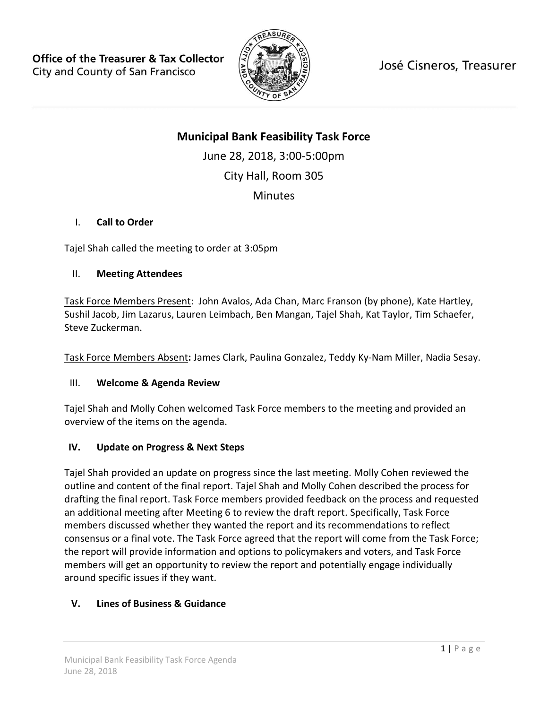

José Cisneros, Treasurer

# **Municipal Bank Feasibility Task Force**

June 28, 2018, 3:00-5:00pm City Hall, Room 305 **Minutes** 

## I. **Call to Order**

Tajel Shah called the meeting to order at 3:05pm

### II. **Meeting Attendees**

Task Force Members Present: John Avalos, Ada Chan, Marc Franson (by phone), Kate Hartley, Sushil Jacob, Jim Lazarus, Lauren Leimbach, Ben Mangan, Tajel Shah, Kat Taylor, Tim Schaefer, Steve Zuckerman.

Task Force Members Absent**:** James Clark, Paulina Gonzalez, Teddy Ky-Nam Miller, Nadia Sesay.

### III. **Welcome & Agenda Review**

Tajel Shah and Molly Cohen welcomed Task Force members to the meeting and provided an overview of the items on the agenda.

### **IV. Update on Progress & Next Steps**

Tajel Shah provided an update on progress since the last meeting. Molly Cohen reviewed the outline and content of the final report. Tajel Shah and Molly Cohen described the process for drafting the final report. Task Force members provided feedback on the process and requested an additional meeting after Meeting 6 to review the draft report. Specifically, Task Force members discussed whether they wanted the report and its recommendations to reflect consensus or a final vote. The Task Force agreed that the report will come from the Task Force; the report will provide information and options to policymakers and voters, and Task Force members will get an opportunity to review the report and potentially engage individually around specific issues if they want.

## **V. Lines of Business & Guidance**